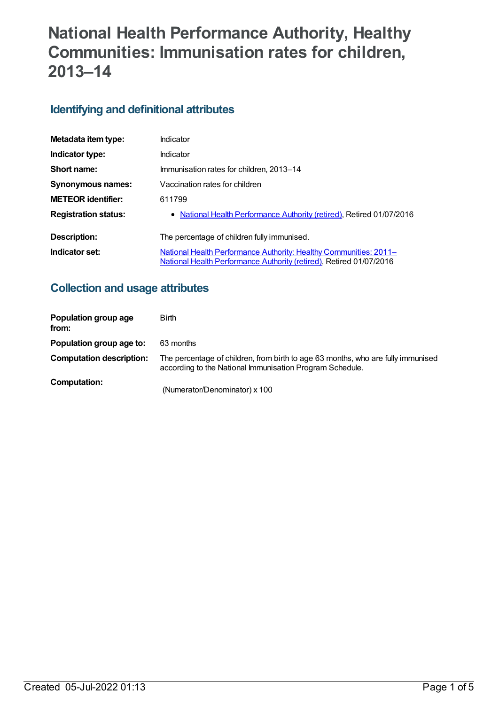# **National Health Performance Authority, Healthy Communities: Immunisation rates for children, 2013–14**

# **Identifying and definitional attributes**

| Metadata item type:         | Indicator                                                                                                                                |
|-----------------------------|------------------------------------------------------------------------------------------------------------------------------------------|
| Indicator type:             | Indicator                                                                                                                                |
| Short name:                 | Immunisation rates for children, 2013–14                                                                                                 |
| <b>Synonymous names:</b>    | Vaccination rates for children                                                                                                           |
| <b>METEOR identifier:</b>   | 611799                                                                                                                                   |
| <b>Registration status:</b> | • National Health Performance Authority (retired), Retired 01/07/2016                                                                    |
| Description:                | The percentage of children fully immunised.                                                                                              |
| Indicator set:              | National Health Performance Authority: Healthy Communities: 2011–<br>National Health Performance Authority (retired), Retired 01/07/2016 |

## **Collection and usage attributes**

| Population group age<br>from:   | <b>Birth</b>                                                                                                                                 |
|---------------------------------|----------------------------------------------------------------------------------------------------------------------------------------------|
| Population group age to:        | 63 months                                                                                                                                    |
| <b>Computation description:</b> | The percentage of children, from birth to age 63 months, who are fully immunised<br>according to the National Immunisation Program Schedule. |
| Computation:                    | (Numerator/Denominator) x 100                                                                                                                |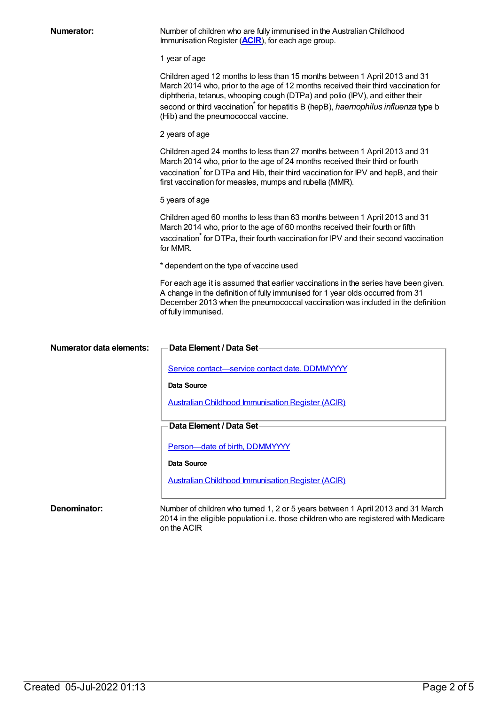| <b>Numerator:</b>               | Number of children who are fully immunised in the Australian Childhood<br>Immunisation Register ( <b>ACIR</b> ), for each age group.                                                                                                                                                                                                                                        |
|---------------------------------|-----------------------------------------------------------------------------------------------------------------------------------------------------------------------------------------------------------------------------------------------------------------------------------------------------------------------------------------------------------------------------|
|                                 | 1 year of age                                                                                                                                                                                                                                                                                                                                                               |
|                                 | Children aged 12 months to less than 15 months between 1 April 2013 and 31<br>March 2014 who, prior to the age of 12 months received their third vaccination for<br>diphtheria, tetanus, whooping cough (DTPa) and polio (IPV), and either their<br>second or third vaccination for hepatitis B (hepB), haemophilus influenza type b<br>(Hib) and the pneumococcal vaccine. |
|                                 | 2 years of age                                                                                                                                                                                                                                                                                                                                                              |
|                                 | Children aged 24 months to less than 27 months between 1 April 2013 and 31<br>March 2014 who, prior to the age of 24 months received their third or fourth<br>vaccination for DTPa and Hib, their third vaccination for IPV and hepB, and their<br>first vaccination for measles, mumps and rubella (MMR).                                                                  |
|                                 | 5 years of age                                                                                                                                                                                                                                                                                                                                                              |
|                                 | Children aged 60 months to less than 63 months between 1 April 2013 and 31<br>March 2014 who, prior to the age of 60 months received their fourth or fifth<br>vaccination <sup>*</sup> for DTPa, their fourth vaccination for IPV and their second vaccination<br>for MMR.                                                                                                  |
|                                 | * dependent on the type of vaccine used                                                                                                                                                                                                                                                                                                                                     |
|                                 | For each age it is assumed that earlier vaccinations in the series have been given.<br>A change in the definition of fully immunised for 1 year olds occurred from 31<br>December 2013 when the pneumococcal vaccination was included in the definition<br>of fully immunised.                                                                                              |
| <b>Numerator data elements:</b> | Data Element / Data Set                                                                                                                                                                                                                                                                                                                                                     |
|                                 | Service contact-service contact date, DDMMYYYY<br><b>Data Source</b>                                                                                                                                                                                                                                                                                                        |
|                                 | <b>Australian Childhood Immunisation Register (ACIR)</b>                                                                                                                                                                                                                                                                                                                    |
|                                 |                                                                                                                                                                                                                                                                                                                                                                             |
|                                 | Data Element / Data Set                                                                                                                                                                                                                                                                                                                                                     |
|                                 | Person-date of birth, DDMMYYYY                                                                                                                                                                                                                                                                                                                                              |
|                                 | Data Source                                                                                                                                                                                                                                                                                                                                                                 |
|                                 | <b>Australian Childhood Immunisation Register (ACIR)</b>                                                                                                                                                                                                                                                                                                                    |
| Denominator:                    | Number of children who turned 1, 2 or 5 years between 1 April 2013 and 31 March                                                                                                                                                                                                                                                                                             |

2014 in the eligible population i.e. those children who are registered with Medicare on the ACIR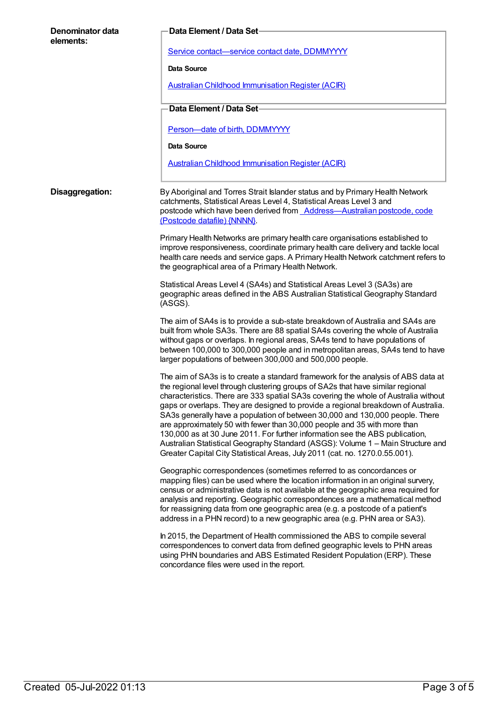| Denominator data<br>elements: | Data Element / Data Set                                                                                                                                                                                                                                                                                                                                                                                                                                                                                                                                                                                                                                                                                                                                        |
|-------------------------------|----------------------------------------------------------------------------------------------------------------------------------------------------------------------------------------------------------------------------------------------------------------------------------------------------------------------------------------------------------------------------------------------------------------------------------------------------------------------------------------------------------------------------------------------------------------------------------------------------------------------------------------------------------------------------------------------------------------------------------------------------------------|
|                               | Service contact-service contact date, DDMMYYYY                                                                                                                                                                                                                                                                                                                                                                                                                                                                                                                                                                                                                                                                                                                 |
|                               | Data Source                                                                                                                                                                                                                                                                                                                                                                                                                                                                                                                                                                                                                                                                                                                                                    |
|                               | <b>Australian Childhood Immunisation Register (ACIR)</b>                                                                                                                                                                                                                                                                                                                                                                                                                                                                                                                                                                                                                                                                                                       |
|                               | Data Element / Data Set-                                                                                                                                                                                                                                                                                                                                                                                                                                                                                                                                                                                                                                                                                                                                       |
|                               | Person-date of birth, DDMMYYYY                                                                                                                                                                                                                                                                                                                                                                                                                                                                                                                                                                                                                                                                                                                                 |
|                               | Data Source                                                                                                                                                                                                                                                                                                                                                                                                                                                                                                                                                                                                                                                                                                                                                    |
|                               | <b>Australian Childhood Immunisation Register (ACIR)</b>                                                                                                                                                                                                                                                                                                                                                                                                                                                                                                                                                                                                                                                                                                       |
| Disaggregation:               | By Aboriginal and Torres Strait Islander status and by Primary Health Network<br>catchments, Statistical Areas Level 4, Statistical Areas Level 3 and<br>postcode which have been derived from <b>Address-Australian postcode</b> , code<br>(Postcode datafile) {NNNN}                                                                                                                                                                                                                                                                                                                                                                                                                                                                                         |
|                               | Primary Health Networks are primary health care organisations established to<br>improve responsiveness, coordinate primary health care delivery and tackle local<br>health care needs and service gaps. A Primary Health Network catchment refers to<br>the geographical area of a Primary Health Network.                                                                                                                                                                                                                                                                                                                                                                                                                                                     |
|                               | Statistical Areas Level 4 (SA4s) and Statistical Areas Level 3 (SA3s) are<br>geographic areas defined in the ABS Australian Statistical Geography Standard<br>(ASGS).                                                                                                                                                                                                                                                                                                                                                                                                                                                                                                                                                                                          |
|                               | The aim of SA4s is to provide a sub-state breakdown of Australia and SA4s are<br>built from whole SA3s. There are 88 spatial SA4s covering the whole of Australia<br>without gaps or overlaps. In regional areas, SA4s tend to have populations of<br>between 100,000 to 300,000 people and in metropolitan areas, SA4s tend to have<br>larger populations of between 300,000 and 500,000 people.                                                                                                                                                                                                                                                                                                                                                              |
|                               | The aim of SA3s is to create a standard framework for the analysis of ABS data at<br>the regional level through clustering groups of SA2s that have similar regional<br>characteristics. There are 333 spatial SA3s covering the whole of Australia without<br>gaps or overlaps. They are designed to provide a regional breakdown of Australia.<br>SA3s generally have a population of between 30,000 and 130,000 people. There<br>are approximately 50 with fewer than 30,000 people and 35 with more than<br>130,000 as at 30 June 2011. For further information see the ABS publication,<br>Australian Statistical Geography Standard (ASGS): Volume 1 - Main Structure and<br>Greater Capital City Statistical Areas, July 2011 (cat. no. 1270.0.55.001). |
|                               | Geographic correspondences (sometimes referred to as concordances or<br>mapping files) can be used where the location information in an original survery,<br>census or administrative data is not available at the geographic area required for<br>analysis and reporting. Geographic correspondences are a mathematical method<br>for reassigning data from one geographic area (e.g. a postcode of a patient's<br>address in a PHN record) to a new geographic area (e.g. PHN area or SA3).                                                                                                                                                                                                                                                                  |
|                               | In 2015, the Department of Health commissioned the ABS to compile several<br>correspondences to convert data from defined geographic levels to PHN areas<br>using PHN boundaries and ABS Estimated Resident Population (ERP). These<br>concordance files were used in the report.                                                                                                                                                                                                                                                                                                                                                                                                                                                                              |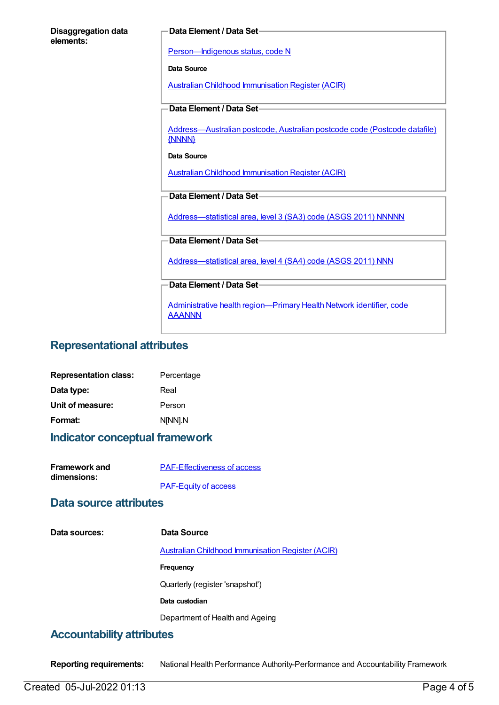| <b>Disaggregation data</b> |  |
|----------------------------|--|
| elements:                  |  |

#### **Data Element / Data Set**

[Person—Indigenous](https://meteor.aihw.gov.au/content/291036) status, code N

**Data Source**

Australian Childhood [Immunisation](https://meteor.aihw.gov.au/content/394254) Register (ACIR)

#### **Data Element / Data Set**

[Address—Australian](https://meteor.aihw.gov.au/content/429894) postcode, Australian postcode code (Postcode datafile) {NNNN}

#### **Data Source**

Australian Childhood [Immunisation](https://meteor.aihw.gov.au/content/394254) Register (ACIR)

#### **Data Element / Data Set**

[Address—statistical](https://meteor.aihw.gov.au/content/457293) area, level 3 (SA3) code (ASGS 2011) NNNNN

#### **Data Element / Data Set**

[Address—statistical](https://meteor.aihw.gov.au/content/609805) area, level 4 (SA4) code (ASGS 2011) NNN

**Data Element / Data Set**

Administrative health [region—Primary](https://meteor.aihw.gov.au/content/611088) Health Network identifier, code AAANNN

## **Representational attributes**

| <b>Representation class:</b> | Percentage |
|------------------------------|------------|
| Data type:                   | Real       |
| Unit of measure:             | Person     |
| Format:                      | N[NN].N    |

## **Indicator conceptual framework**

| <b>Framework and</b> | <b>PAF-Effectiveness of access</b> |
|----------------------|------------------------------------|
| dimensions:          |                                    |
|                      | <b>PAF-Equity of access</b>        |

### **Data source attributes**

| Data sources: | Data Source                                              |
|---------------|----------------------------------------------------------|
|               | <b>Australian Childhood Immunisation Register (ACIR)</b> |
|               | Frequency                                                |
|               | Quarterly (register 'snapshot')                          |
|               | Data custodian                                           |
|               | Department of Health and Ageing                          |
|               |                                                          |

## **Accountability attributes**

**Reporting requirements:** National Health Performance Authority-Performance and Accountability Framework